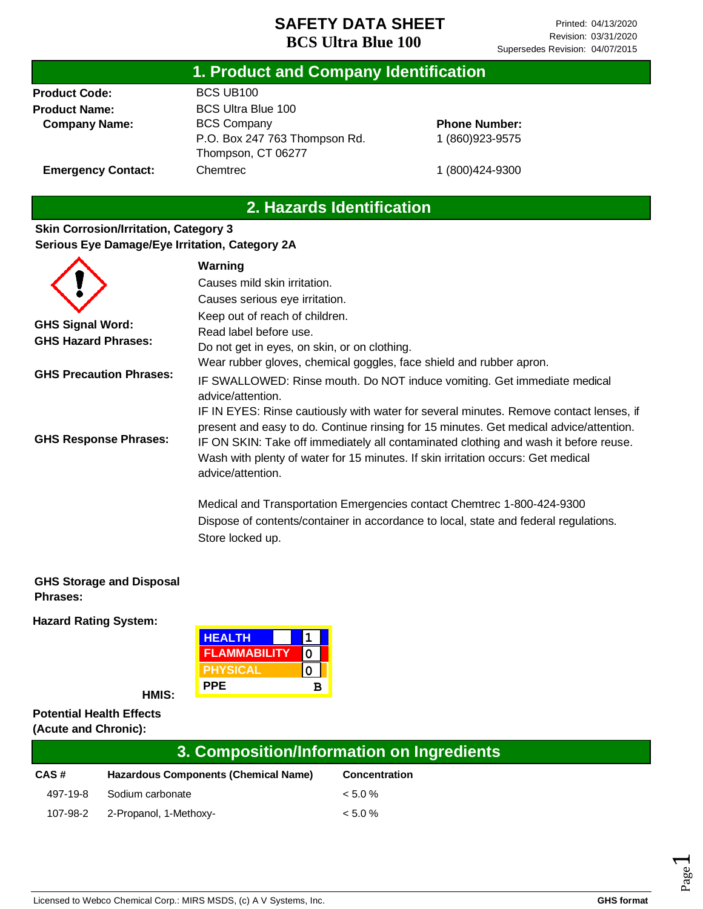#### **1. Product and Company Identification**

**Product Code: Product Name: Company Name:**

**Emergency Contact:**

BCS UB100 BCS Ultra Blue 100 BCS Company P.O. Box 247 763 Thompson Rd. Thompson, CT 06277 Chemtrec

**Phone Number:** 1 (860)923-9575

1 (800)424-9300

### **2. Hazards Identification**

#### **Skin Corrosion/Irritation, Category 3 Serious Eye Damage/Eye Irritation, Category 2A**

|                                | Warning                                                                                |
|--------------------------------|----------------------------------------------------------------------------------------|
|                                | Causes mild skin irritation.                                                           |
|                                | Causes serious eye irritation.                                                         |
|                                | Keep out of reach of children.                                                         |
| <b>GHS Signal Word:</b>        | Read label before use.                                                                 |
| <b>GHS Hazard Phrases:</b>     | Do not get in eyes, on skin, or on clothing.                                           |
|                                | Wear rubber gloves, chemical goggles, face shield and rubber apron.                    |
| <b>GHS Precaution Phrases:</b> | IF SWALLOWED: Rinse mouth. Do NOT induce vomiting. Get immediate medical               |
|                                | advice/attention.                                                                      |
|                                | IF IN EYES: Rinse cautiously with water for several minutes. Remove contact lenses, if |
|                                | present and easy to do. Continue rinsing for 15 minutes. Get medical advice/attention. |
| <b>GHS Response Phrases:</b>   | IF ON SKIN: Take off immediately all contaminated clothing and wash it before reuse.   |
|                                | Wash with plenty of water for 15 minutes. If skin irritation occurs: Get medical       |
|                                | advice/attention.                                                                      |
|                                | Medical and Transportation Emergencies contact Chemtrec 1-800-424-9300                 |
|                                | Dispose of contents/container in accordance to local, state and federal regulations.   |
|                                | Store locked up.                                                                       |

#### **GHS Storage and Disposal Phrases:**

**Hazard Rating System:**

| <b>HEALTH</b>       |   |  |
|---------------------|---|--|
| <b>FLAMMABILITY</b> |   |  |
| <b>PHYSICAL</b>     |   |  |
| PPE                 | R |  |

**HMIS:**

#### **Potential Health Effects (Acute and Chronic):**

|          | 3. Composition/Information on Ingredients   |                      |  |  |
|----------|---------------------------------------------|----------------------|--|--|
| CAS#     | <b>Hazardous Components (Chemical Name)</b> | <b>Concentration</b> |  |  |
| 497-19-8 | Sodium carbonate                            | $< 5.0 \%$           |  |  |
|          | 107-98-2 2-Propanol, 1-Methoxy-             | $< 5.0 \%$           |  |  |

Page  $\overline{\phantom{0}}$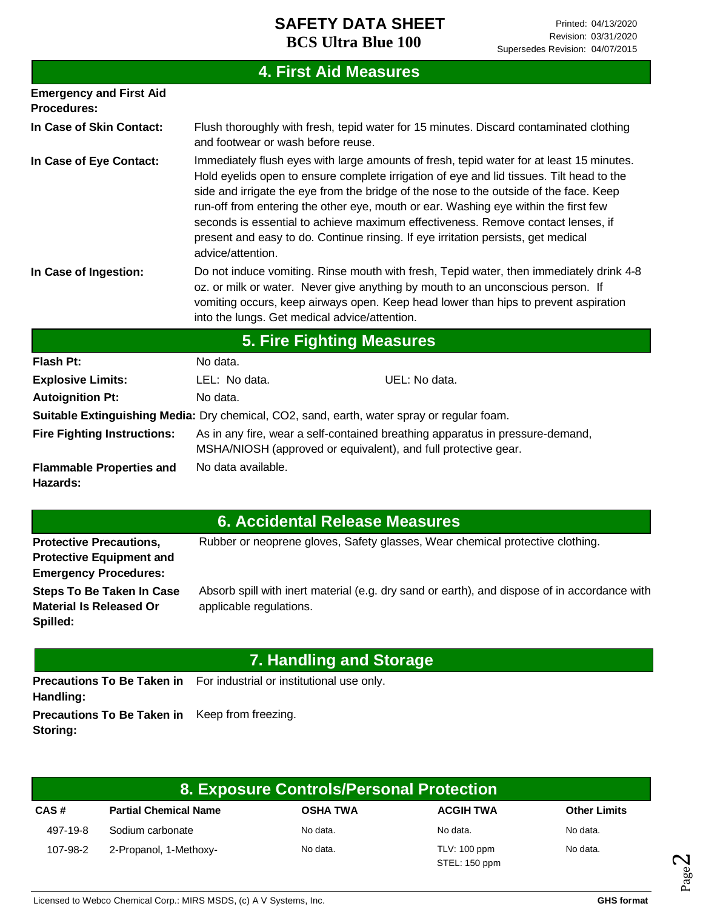|                                                      |                                               | <b>4. First Aid Measures</b>                                                                                                                                                                                                                                                                                                                                                                                                                                                                                                                   |
|------------------------------------------------------|-----------------------------------------------|------------------------------------------------------------------------------------------------------------------------------------------------------------------------------------------------------------------------------------------------------------------------------------------------------------------------------------------------------------------------------------------------------------------------------------------------------------------------------------------------------------------------------------------------|
| <b>Emergency and First Aid</b><br><b>Procedures:</b> |                                               |                                                                                                                                                                                                                                                                                                                                                                                                                                                                                                                                                |
| In Case of Skin Contact:                             | and footwear or wash before reuse.            | Flush thoroughly with fresh, tepid water for 15 minutes. Discard contaminated clothing                                                                                                                                                                                                                                                                                                                                                                                                                                                         |
| In Case of Eye Contact:                              | advice/attention.                             | Immediately flush eyes with large amounts of fresh, tepid water for at least 15 minutes.<br>Hold eyelids open to ensure complete irrigation of eye and lid tissues. Tilt head to the<br>side and irrigate the eye from the bridge of the nose to the outside of the face. Keep<br>run-off from entering the other eye, mouth or ear. Washing eye within the first few<br>seconds is essential to achieve maximum effectiveness. Remove contact lenses, if<br>present and easy to do. Continue rinsing. If eye irritation persists, get medical |
| In Case of Ingestion:                                | into the lungs. Get medical advice/attention. | Do not induce vomiting. Rinse mouth with fresh, Tepid water, then immediately drink 4-8<br>oz. or milk or water. Never give anything by mouth to an unconscious person. If<br>vomiting occurs, keep airways open. Keep head lower than hips to prevent aspiration                                                                                                                                                                                                                                                                              |
|                                                      |                                               | <b>5. Fire Fighting Measures</b>                                                                                                                                                                                                                                                                                                                                                                                                                                                                                                               |
| <b>Flash Pt:</b>                                     | No data.                                      |                                                                                                                                                                                                                                                                                                                                                                                                                                                                                                                                                |
| <b>Explosive Limits:</b>                             | LEL: No data.                                 | UEL: No data.                                                                                                                                                                                                                                                                                                                                                                                                                                                                                                                                  |
| <b>Autoignition Pt:</b>                              | No data.                                      |                                                                                                                                                                                                                                                                                                                                                                                                                                                                                                                                                |
|                                                      |                                               | Suitable Extinguishing Media: Dry chemical, CO2, sand, earth, water spray or regular foam.                                                                                                                                                                                                                                                                                                                                                                                                                                                     |
| <b>Fire Fighting Instructions:</b>                   |                                               | As in any fire, wear a self-contained breathing apparatus in pressure-demand,<br>MSHA/NIOSH (approved or equivalent), and full protective gear.                                                                                                                                                                                                                                                                                                                                                                                                |
| <b>Flammable Properties and</b><br>Hazards:          | No data available.                            |                                                                                                                                                                                                                                                                                                                                                                                                                                                                                                                                                |

|  |  | 6. Accidental Release Measures |
|--|--|--------------------------------|
|  |  |                                |

| <b>Protective Precautions,</b>  | Rubber or neoprene gloves, Safety glasses, Wear chemical protective clothing.                |
|---------------------------------|----------------------------------------------------------------------------------------------|
| <b>Protective Equipment and</b> |                                                                                              |
| <b>Emergency Procedures:</b>    |                                                                                              |
| Steps To Be Taken In Case       | Absorb spill with inert material (e.g. dry sand or earth), and dispose of in accordance with |
| <b>Material Is Released Or</b>  | applicable regulations.                                                                      |
| Spilled:                        |                                                                                              |

# **7. Handling and Storage**

Precautions To Be Taken in For industrial or institutional use only. **Handling: Precautions To Be Taken in**  Keep from freezing. **Storing:**

| 8. Exposure Controls/Personal Protection |                              |                 |                               |                     |
|------------------------------------------|------------------------------|-----------------|-------------------------------|---------------------|
| CAS#                                     | <b>Partial Chemical Name</b> | <b>OSHA TWA</b> | <b>ACGIH TWA</b>              | <b>Other Limits</b> |
| 497-19-8                                 | Sodium carbonate             | No data.        | No data.                      | No data.            |
| 107-98-2                                 | 2-Propanol, 1-Methoxy-       | No data.        | TLV: 100 ppm<br>STEL: 150 ppm | No data.            |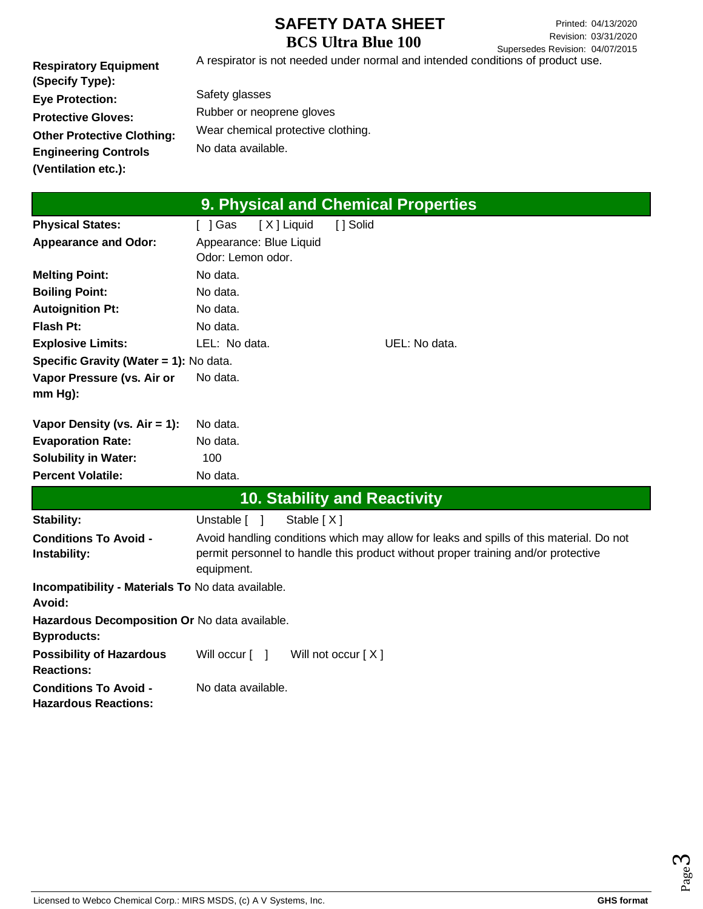**Respiratory Equipment (Specify Type): Eye Protection: Protective Gloves: Other Protective Clothing: Engineering Controls (Ventilation etc.):** A respirator is not needed under normal and intended conditions of product use.

Safety glasses Rubber or neoprene gloves Wear chemical protective clothing. No data available.

| 9. Physical and Chemical Properties                                 |                                                                                                                                                                                            |  |  |  |  |
|---------------------------------------------------------------------|--------------------------------------------------------------------------------------------------------------------------------------------------------------------------------------------|--|--|--|--|
| <b>Physical States:</b>                                             | [X] Liquid<br>[ ] Solid<br>[ ] Gas                                                                                                                                                         |  |  |  |  |
| <b>Appearance and Odor:</b>                                         | Appearance: Blue Liquid<br>Odor: Lemon odor.                                                                                                                                               |  |  |  |  |
| <b>Melting Point:</b>                                               | No data.                                                                                                                                                                                   |  |  |  |  |
| <b>Boiling Point:</b>                                               | No data.                                                                                                                                                                                   |  |  |  |  |
| <b>Autoignition Pt:</b>                                             | No data.                                                                                                                                                                                   |  |  |  |  |
| <b>Flash Pt:</b>                                                    | No data.                                                                                                                                                                                   |  |  |  |  |
| <b>Explosive Limits:</b>                                            | LEL: No data.<br>UEL: No data.                                                                                                                                                             |  |  |  |  |
| Specific Gravity (Water = 1): No data.                              |                                                                                                                                                                                            |  |  |  |  |
| Vapor Pressure (vs. Air or<br>mm Hg):                               | No data.                                                                                                                                                                                   |  |  |  |  |
| Vapor Density (vs. $Air = 1$ ):                                     | No data.                                                                                                                                                                                   |  |  |  |  |
| <b>Evaporation Rate:</b>                                            | No data.                                                                                                                                                                                   |  |  |  |  |
| <b>Solubility in Water:</b>                                         | 100                                                                                                                                                                                        |  |  |  |  |
| <b>Percent Volatile:</b>                                            | No data.                                                                                                                                                                                   |  |  |  |  |
|                                                                     | <b>10. Stability and Reactivity</b>                                                                                                                                                        |  |  |  |  |
| <b>Stability:</b>                                                   | Stable [X]<br>Unstable [ ]                                                                                                                                                                 |  |  |  |  |
| <b>Conditions To Avoid -</b><br>Instability:                        | Avoid handling conditions which may allow for leaks and spills of this material. Do not<br>permit personnel to handle this product without proper training and/or protective<br>equipment. |  |  |  |  |
| Incompatibility - Materials To No data available.<br>Avoid:         |                                                                                                                                                                                            |  |  |  |  |
| Hazardous Decomposition Or No data available.<br><b>Byproducts:</b> |                                                                                                                                                                                            |  |  |  |  |
| <b>Possibility of Hazardous</b><br><b>Reactions:</b>                | Will occur $\lceil \quad \rceil$<br>Will not occur $[X]$                                                                                                                                   |  |  |  |  |
| <b>Conditions To Avoid -</b><br><b>Hazardous Reactions:</b>         | No data available.                                                                                                                                                                         |  |  |  |  |